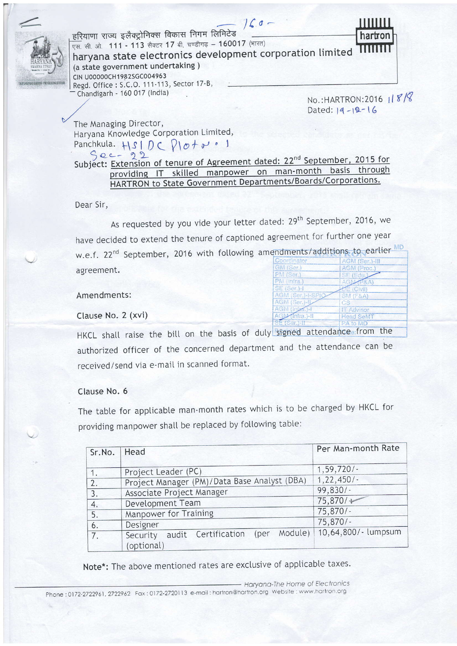

Dated:  $14 - 12 - 16$ 

The Managing Director, Haryana Knowledge Corporation Limited, Panchkula.  $H_S/DC$   $D \sigma + \sigma$  . 1  $Sec-22$ 

Subject: Extension of tenure of Agreement dated: 22<sup>nd</sup> September, 2015 for providing IT skilled manpower on man-month basis through HARTRON to State Government Departments/Boards/Corporations.

Dear Sir,

As requested by you vide your letter dated: 29<sup>th</sup> September, 2016, we have decided to extend the tenure of captioned agreement for further one year w.e.f. 22<sup>nd</sup> September, 2016 with following amendments/additions to earlier MD agreement.

## Amendments:

Clause No. 2 (xvi)

HKCL shall raise the bill on the basis of duly signed attendance.from the authorized officer of the concerned department and the attendance can be received/send via e-mail in scanned format.

## Clause No. 6

The table for applicable man-month rates which is to be charged by HKCL for providing manpower shall be replaced by following table:

| Sr.No.   Head |                                                               | Per Man-month Rate  |
|---------------|---------------------------------------------------------------|---------------------|
| 1.            | Project Leader (PC)                                           | 1, 59, 720/         |
| 2.            | Project Manager (PM)/Data Base Analyst (DBA)                  | $1,22,450/-$        |
| 3.            | Associate Project Manager                                     | $99,830/-$          |
| 4.            | Development Team                                              | 75,870/             |
| 5.            | Manpower for Training                                         | $75,870/-$          |
| 6.            | Designer                                                      | $75,870/-$          |
| 7.            | Module)<br>audit Certification (per<br>Security<br>(optional) | 10,64,800/- lumpsum |

Note\*: The above mentioned rates are exclusive of applicable taxes.